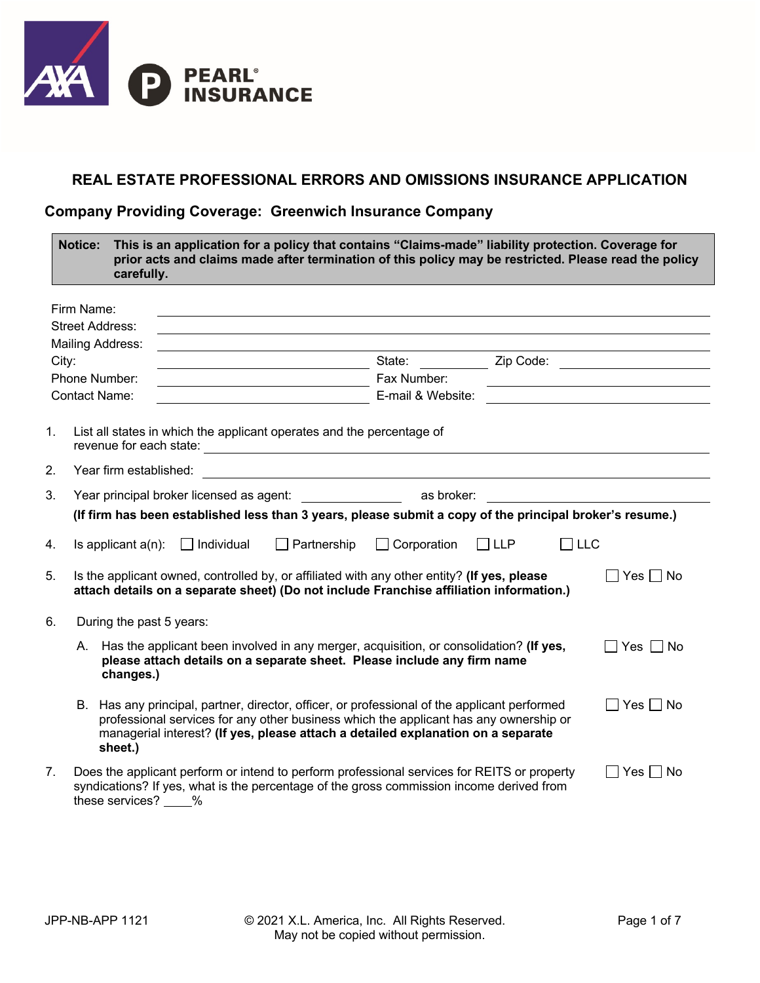

## **REAL ESTATE PROFESSIONAL ERRORS AND OMISSIONS INSURANCE APPLICATION**

### **Company Providing Coverage: Greenwich Insurance Company**

|                | <b>Notice:</b>         | carefully.               |                   |                                                                       | This is an application for a policy that contains "Claims-made" liability protection. Coverage for<br>prior acts and claims made after termination of this policy may be restricted. Please read the policy                                                               |                          |                                                   |
|----------------|------------------------|--------------------------|-------------------|-----------------------------------------------------------------------|---------------------------------------------------------------------------------------------------------------------------------------------------------------------------------------------------------------------------------------------------------------------------|--------------------------|---------------------------------------------------|
|                | Firm Name:             |                          |                   |                                                                       | and the control of the control of the control of the control of the control of the control of the control of the                                                                                                                                                          |                          |                                                   |
|                | <b>Street Address:</b> |                          |                   |                                                                       | ,我们也不会有一个人的人,我们也不会有一个人的人,我们也不会有一个人的人。""我们,我们也不会有一个人的人,我们也不会有一个人的人,我们也不会有一个人的人,我们                                                                                                                                                                                          |                          |                                                   |
|                | Mailing Address:       |                          |                   |                                                                       |                                                                                                                                                                                                                                                                           |                          |                                                   |
| City:          |                        |                          |                   | <u> 1989 - Johann Barnett, fransk politik (d. 1989)</u>               | State:                                                                                                                                                                                                                                                                    |                          | Zip Code: <u>__________________</u>               |
|                | Phone Number:          |                          |                   |                                                                       | Fax Number:                                                                                                                                                                                                                                                               |                          |                                                   |
|                | <b>Contact Name:</b>   |                          |                   |                                                                       | E-mail & Website:                                                                                                                                                                                                                                                         |                          |                                                   |
| 1.             |                        |                          |                   | List all states in which the applicant operates and the percentage of |                                                                                                                                                                                                                                                                           |                          |                                                   |
| 2.             |                        | Year firm established:   |                   |                                                                       | <u> 1989 - Johann Stoff, deutscher Stoff, der Stoff, der Stoff, der Stoff, der Stoff, der Stoff, der Stoff, der S</u>                                                                                                                                                     |                          |                                                   |
| 3.             |                        |                          |                   |                                                                       |                                                                                                                                                                                                                                                                           |                          | <u> 1989 - Johann Barbara, martxa alemaniar a</u> |
|                |                        |                          |                   |                                                                       | (If firm has been established less than 3 years, please submit a copy of the principal broker's resume.)                                                                                                                                                                  |                          |                                                   |
| 4.             |                        | Is applicant $a(n)$ :    | $\Box$ Individual | $\Box$ Partnership                                                    | Corporation                                                                                                                                                                                                                                                               | $\Box$ LLP<br>$\Box$ LLC |                                                   |
| 5.             |                        |                          |                   |                                                                       | Is the applicant owned, controlled by, or affiliated with any other entity? (If yes, please<br>attach details on a separate sheet) (Do not include Franchise affiliation information.)                                                                                    |                          | $\Box$ Yes $\Box$ No                              |
| 6.             |                        | During the past 5 years: |                   |                                                                       |                                                                                                                                                                                                                                                                           |                          |                                                   |
|                |                        | changes.)                |                   |                                                                       | A. Has the applicant been involved in any merger, acquisition, or consolidation? (If yes,<br>please attach details on a separate sheet. Please include any firm name                                                                                                      |                          | $\Box$ Yes $\Box$ No                              |
|                |                        | sheet.)                  |                   |                                                                       | B. Has any principal, partner, director, officer, or professional of the applicant performed<br>professional services for any other business which the applicant has any ownership or<br>managerial interest? (If yes, please attach a detailed explanation on a separate |                          | $\Box$ Yes $\Box$ No                              |
| 7 <sub>1</sub> |                        | these services?          | %                 |                                                                       | Does the applicant perform or intend to perform professional services for REITS or property<br>syndications? If yes, what is the percentage of the gross commission income derived from                                                                                   |                          | $\Box$ Yes $\Box$ No                              |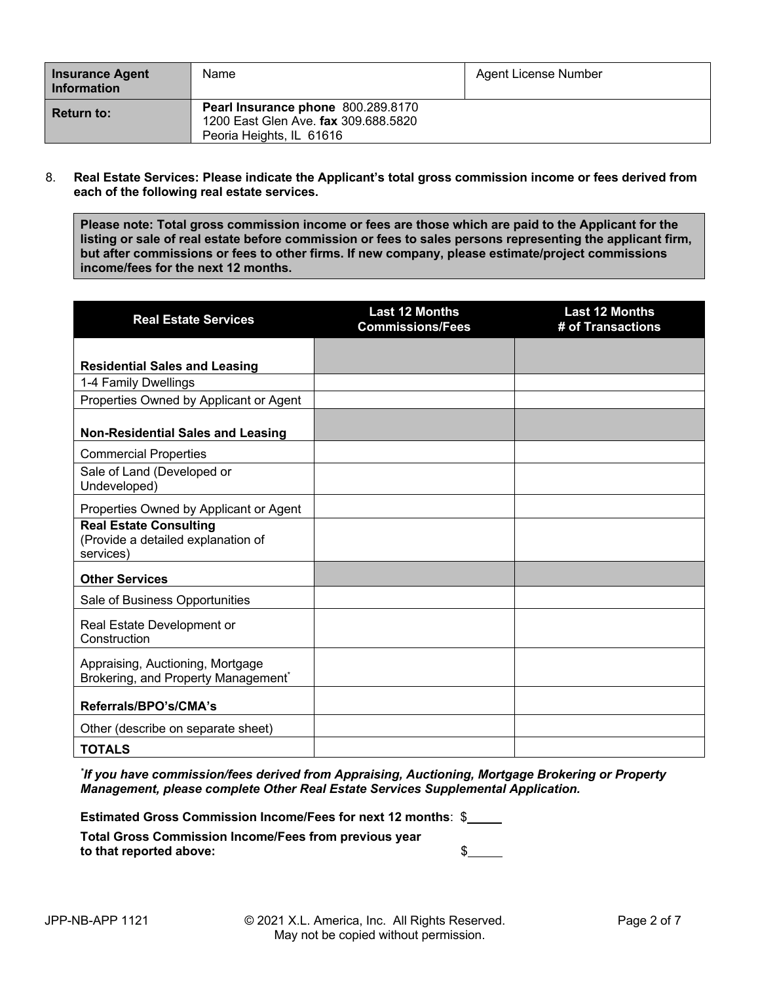| <b>Insurance Agent</b><br><b>Information</b> | <b>Name</b>                                                                                            | Agent License Number |
|----------------------------------------------|--------------------------------------------------------------------------------------------------------|----------------------|
| <b>Return to:</b>                            | Pearl Insurance phone 800.289.8170<br>1200 East Glen Ave. fax 309.688.5820<br>Peoria Heights, IL 61616 |                      |

8. **Real Estate Services: Please indicate the Applicant's total gross commission income or fees derived from each of the following real estate services.**

**Please note: Total gross commission income or fees are those which are paid to the Applicant for the listing or sale of real estate before commission or fees to sales persons representing the applicant firm, but after commissions or fees to other firms. If new company, please estimate/project commissions income/fees for the next 12 months.**

| <b>Real Estate Services</b>                                                      | <b>Last 12 Months</b><br><b>Commissions/Fees</b> | <b>Last 12 Months</b><br># of Transactions |
|----------------------------------------------------------------------------------|--------------------------------------------------|--------------------------------------------|
|                                                                                  |                                                  |                                            |
| <b>Residential Sales and Leasing</b>                                             |                                                  |                                            |
| 1-4 Family Dwellings                                                             |                                                  |                                            |
| Properties Owned by Applicant or Agent                                           |                                                  |                                            |
| <b>Non-Residential Sales and Leasing</b>                                         |                                                  |                                            |
| <b>Commercial Properties</b>                                                     |                                                  |                                            |
| Sale of Land (Developed or<br>Undeveloped)                                       |                                                  |                                            |
| Properties Owned by Applicant or Agent                                           |                                                  |                                            |
| <b>Real Estate Consulting</b><br>(Provide a detailed explanation of<br>services) |                                                  |                                            |
| <b>Other Services</b>                                                            |                                                  |                                            |
| Sale of Business Opportunities                                                   |                                                  |                                            |
| Real Estate Development or<br>Construction                                       |                                                  |                                            |
| Appraising, Auctioning, Mortgage<br>Brokering, and Property Management*          |                                                  |                                            |
| Referrals/BPO's/CMA's                                                            |                                                  |                                            |
| Other (describe on separate sheet)                                               |                                                  |                                            |
| <b>TOTALS</b>                                                                    |                                                  |                                            |

*\* If you have commission/fees derived from Appraising, Auctioning, Mortgage Brokering or Property Management, please complete Other Real Estate Services Supplemental Application.*

**Estimated Gross Commission Income/Fees for next 12 months**: \$

**Total Gross Commission Income/Fees from previous year to that reported above:** \$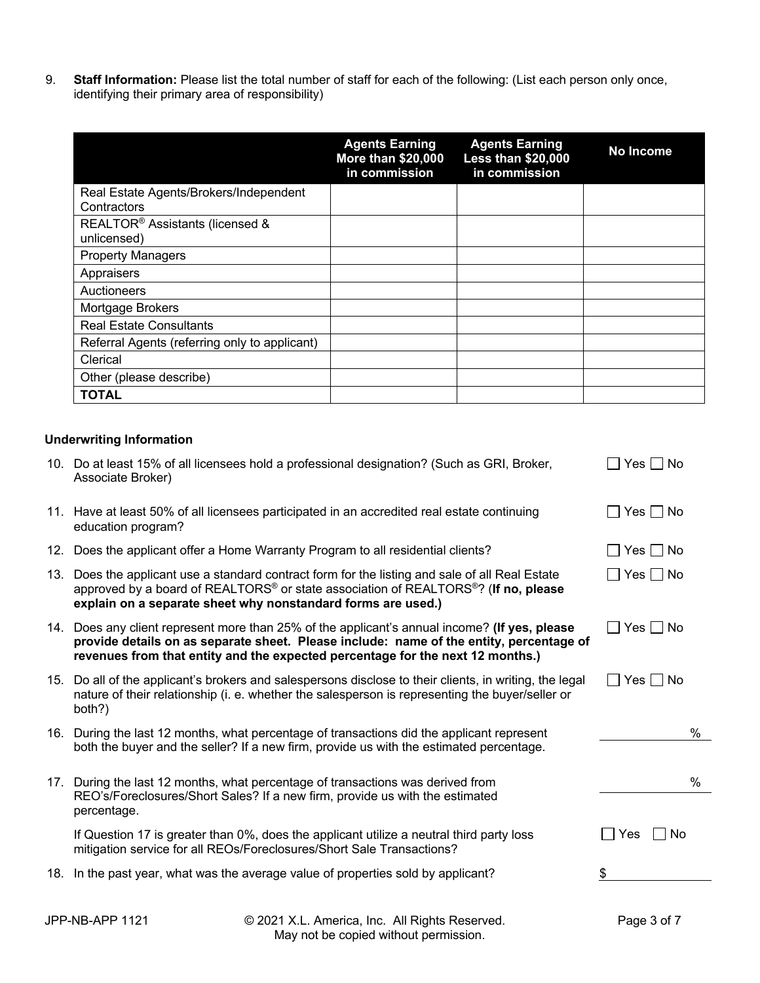9. **Staff Information:** Please list the total number of staff for each of the following: (List each person only once, identifying their primary area of responsibility)

|                                                            | <b>Agents Earning</b><br><b>More than \$20,000</b><br>in commission | <b>Agents Earning</b><br><b>Less than \$20,000</b><br>in commission | No Income |
|------------------------------------------------------------|---------------------------------------------------------------------|---------------------------------------------------------------------|-----------|
| Real Estate Agents/Brokers/Independent                     |                                                                     |                                                                     |           |
| Contractors                                                |                                                                     |                                                                     |           |
| REALTOR <sup>®</sup> Assistants (licensed &<br>unlicensed) |                                                                     |                                                                     |           |
| <b>Property Managers</b>                                   |                                                                     |                                                                     |           |
| Appraisers                                                 |                                                                     |                                                                     |           |
| Auctioneers                                                |                                                                     |                                                                     |           |
| Mortgage Brokers                                           |                                                                     |                                                                     |           |
| <b>Real Estate Consultants</b>                             |                                                                     |                                                                     |           |
| Referral Agents (referring only to applicant)              |                                                                     |                                                                     |           |
| Clerical                                                   |                                                                     |                                                                     |           |
| Other (please describe)                                    |                                                                     |                                                                     |           |
| <b>TOTAL</b>                                               |                                                                     |                                                                     |           |

#### **Underwriting Information**

|     | 10. Do at least 15% of all licensees hold a professional designation? (Such as GRI, Broker,<br>Associate Broker)                                                                                                                                                           | Yes I I No    |
|-----|----------------------------------------------------------------------------------------------------------------------------------------------------------------------------------------------------------------------------------------------------------------------------|---------------|
|     | 11. Have at least 50% of all licensees participated in an accredited real estate continuing<br>education program?                                                                                                                                                          | Yes I No      |
| 12. | Does the applicant offer a Home Warranty Program to all residential clients?                                                                                                                                                                                               | $Yes \Box No$ |
|     | 13. Does the applicant use a standard contract form for the listing and sale of all Real Estate<br>approved by a board of REALTORS® or state association of REALTORS®? (If no, please<br>explain on a separate sheet why nonstandard forms are used.)                      | $Yes \Box No$ |
|     | 14. Does any client represent more than 25% of the applicant's annual income? (If yes, please<br>provide details on as separate sheet. Please include: name of the entity, percentage of<br>revenues from that entity and the expected percentage for the next 12 months.) | Yes     No    |
|     | 15. Do all of the applicant's brokers and salespersons disclose to their clients, in writing, the legal<br>nature of their relationship (i. e. whether the salesperson is representing the buyer/seller or<br>both?)                                                       | Yes   No      |
|     | 16. During the last 12 months, what percentage of transactions did the applicant represent<br>both the buyer and the seller? If a new firm, provide us with the estimated percentage.                                                                                      | %             |
|     | 17. During the last 12 months, what percentage of transactions was derived from                                                                                                                                                                                            | $\%$          |
|     | REO's/Foreclosures/Short Sales? If a new firm, provide us with the estimated<br>percentage.                                                                                                                                                                                |               |
|     | If Question 17 is greater than 0%, does the applicant utilize a neutral third party loss<br>mitigation service for all REOs/Foreclosures/Short Sale Transactions?                                                                                                          | No<br>Yes     |
|     | 18. In the past year, what was the average value of properties sold by applicant?                                                                                                                                                                                          | \$            |
|     |                                                                                                                                                                                                                                                                            |               |

JPP-NB-APP 1121 © 2021 X.L. America, Inc. All Rights Reserved. Page 3 of 7 May not be copied without permission.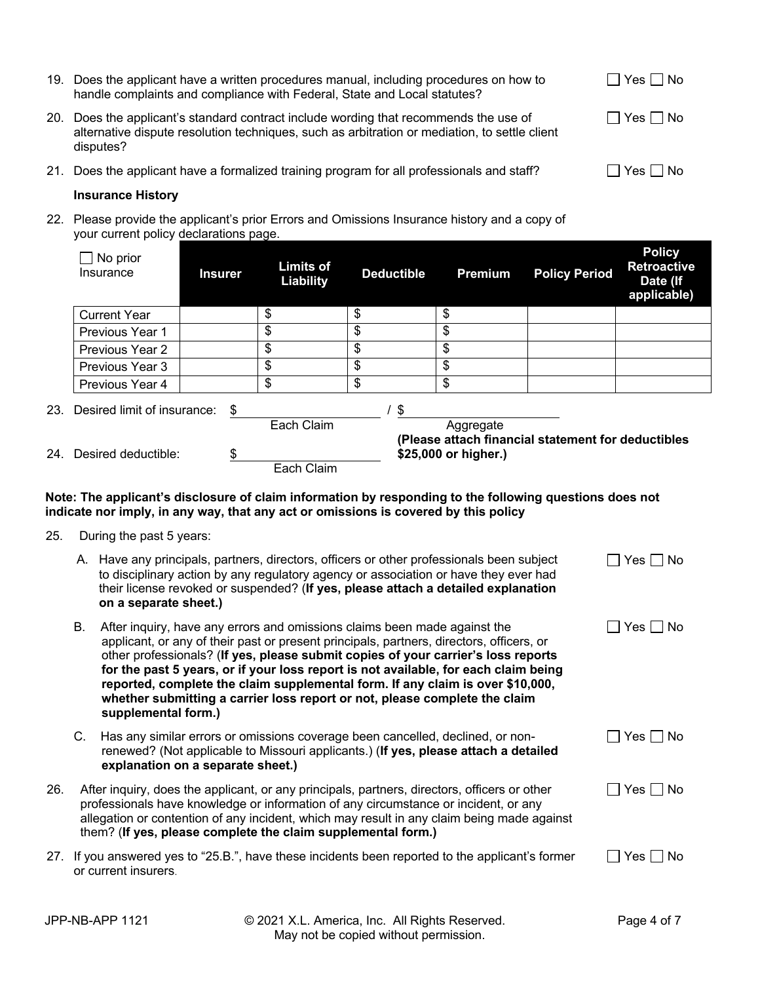|     | 19. Does the applicant have a written procedures manual, including procedures on how to<br>handle complaints and compliance with Federal, State and Local statutes?                             | Yes     No  |
|-----|-------------------------------------------------------------------------------------------------------------------------------------------------------------------------------------------------|-------------|
| 20. | Does the applicant's standard contract include wording that recommends the use of<br>alternative dispute resolution techniques, such as arbitration or mediation, to settle client<br>disputes? | Yes      No |
|     | 21. Does the applicant have a formalized training program for all professionals and staff?                                                                                                      | Yes   No    |

#### **Insurance History**

22. Please provide the applicant's prior Errors and Omissions Insurance history and a copy of your current policy declarations page.

| No prior<br>Insurance           | <b>Insurer</b> | <b>Limits of</b><br>Liability | <b>Deductible</b> | <b>Premium</b>       | <b>Policy Period</b>                               | <b>Policy</b><br><b>Retroactive</b><br>Date (If<br>applicable) |  |
|---------------------------------|----------------|-------------------------------|-------------------|----------------------|----------------------------------------------------|----------------------------------------------------------------|--|
| <b>Current Year</b>             |                | \$                            | \$                | \$                   |                                                    |                                                                |  |
| Previous Year 1                 |                | \$                            | \$                | \$                   |                                                    |                                                                |  |
| <b>Previous Year 2</b>          |                | \$                            | \$                | \$                   |                                                    |                                                                |  |
| Previous Year 3                 |                | \$                            | \$                | \$                   |                                                    |                                                                |  |
| Previous Year 4                 |                | \$                            | \$                | \$                   |                                                    |                                                                |  |
| 23. Desired limit of insurance: | \$             | Each Claim                    | \$                | Aggregate            |                                                    |                                                                |  |
| 24. Desired deductible:         | \$             | Each Claim                    |                   | \$25,000 or higher.) | (Please attach financial statement for deductibles |                                                                |  |

#### **Note: The applicant's disclosure of claim information by responding to the following questions does not indicate nor imply, in any way, that any act or omissions is covered by this policy**

25. During the past 5 years:

|     |    | A. Have any principals, partners, directors, officers or other professionals been subject<br>to disciplinary action by any regulatory agency or association or have they ever had<br>their license revoked or suspended? (If yes, please attach a detailed explanation<br>on a separate sheet.)                                                                                                                                                                                                                                          | Yes   No     |
|-----|----|------------------------------------------------------------------------------------------------------------------------------------------------------------------------------------------------------------------------------------------------------------------------------------------------------------------------------------------------------------------------------------------------------------------------------------------------------------------------------------------------------------------------------------------|--------------|
|     | В. | After inquiry, have any errors and omissions claims been made against the<br>applicant, or any of their past or present principals, partners, directors, officers, or<br>other professionals? (If yes, please submit copies of your carrier's loss reports<br>for the past 5 years, or if your loss report is not available, for each claim being<br>reported, complete the claim supplemental form. If any claim is over \$10,000,<br>whether submitting a carrier loss report or not, please complete the claim<br>supplemental form.) | Yes     No   |
|     | C. | Has any similar errors or omissions coverage been cancelled, declined, or non-<br>renewed? (Not applicable to Missouri applicants.) (If yes, please attach a detailed<br>explanation on a separate sheet.)                                                                                                                                                                                                                                                                                                                               | Yes   No     |
| 26. |    | After inquiry, does the applicant, or any principals, partners, directors, officers or other<br>professionals have knowledge or information of any circumstance or incident, or any<br>allegation or contention of any incident, which may result in any claim being made against<br>them? (If yes, please complete the claim supplemental form.)                                                                                                                                                                                        | ∣ Yes ∐ No   |
| 27. |    | If you answered yes to "25.B.", have these incidents been reported to the applicant's former<br>or current insurers.                                                                                                                                                                                                                                                                                                                                                                                                                     | Yes I<br>No. |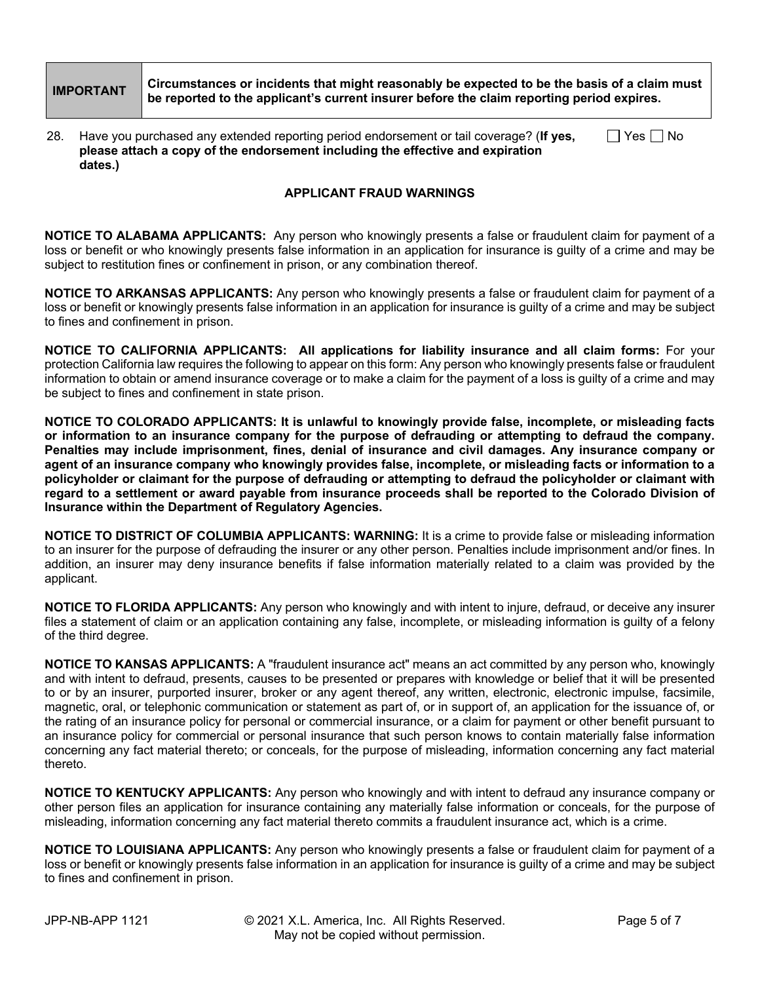# **IMPORTANT Circumstances or incidents that might reasonably be expected to be the basis of a claim must be reported to the applicant's current insurer before the claim reporting period expires.**

| 28. Have you purchased any extended reporting period endorsement or tail coverage? (If yes, | $\Box$ Yes $\Box$ No |
|---------------------------------------------------------------------------------------------|----------------------|
| please attach a copy of the endorsement including the effective and expiration              |                      |
| dates.)                                                                                     |                      |

#### **APPLICANT FRAUD WARNINGS**

**NOTICE TO ALABAMA APPLICANTS:** Any person who knowingly presents a false or fraudulent claim for payment of a loss or benefit or who knowingly presents false information in an application for insurance is guilty of a crime and may be subject to restitution fines or confinement in prison, or any combination thereof.

**NOTICE TO ARKANSAS APPLICANTS:** Any person who knowingly presents a false or fraudulent claim for payment of a loss or benefit or knowingly presents false information in an application for insurance is guilty of a crime and may be subject to fines and confinement in prison.

**NOTICE TO CALIFORNIA APPLICANTS: All applications for liability insurance and all claim forms:** For your protection California law requires the following to appear on this form: Any person who knowingly presents false or fraudulent information to obtain or amend insurance coverage or to make a claim for the payment of a loss is guilty of a crime and may be subject to fines and confinement in state prison.

**NOTICE TO COLORADO APPLICANTS: It is unlawful to knowingly provide false, incomplete, or misleading facts or information to an insurance company for the purpose of defrauding or attempting to defraud the company. Penalties may include imprisonment, fines, denial of insurance and civil damages. Any insurance company or agent of an insurance company who knowingly provides false, incomplete, or misleading facts or information to a policyholder or claimant for the purpose of defrauding or attempting to defraud the policyholder or claimant with regard to a settlement or award payable from insurance proceeds shall be reported to the Colorado Division of Insurance within the Department of Regulatory Agencies.**

**NOTICE TO DISTRICT OF COLUMBIA APPLICANTS: WARNING:** It is a crime to provide false or misleading information to an insurer for the purpose of defrauding the insurer or any other person. Penalties include imprisonment and/or fines. In addition, an insurer may deny insurance benefits if false information materially related to a claim was provided by the applicant.

**NOTICE TO FLORIDA APPLICANTS:** Any person who knowingly and with intent to injure, defraud, or deceive any insurer files a statement of claim or an application containing any false, incomplete, or misleading information is guilty of a felony of the third degree.

**NOTICE TO KANSAS APPLICANTS:** A "fraudulent insurance act" means an act committed by any person who, knowingly and with intent to defraud, presents, causes to be presented or prepares with knowledge or belief that it will be presented to or by an insurer, purported insurer, broker or any agent thereof, any written, electronic, electronic impulse, facsimile, magnetic, oral, or telephonic communication or statement as part of, or in support of, an application for the issuance of, or the rating of an insurance policy for personal or commercial insurance, or a claim for payment or other benefit pursuant to an insurance policy for commercial or personal insurance that such person knows to contain materially false information concerning any fact material thereto; or conceals, for the purpose of misleading, information concerning any fact material thereto.

**NOTICE TO KENTUCKY APPLICANTS:** Any person who knowingly and with intent to defraud any insurance company or other person files an application for insurance containing any materially false information or conceals, for the purpose of misleading, information concerning any fact material thereto commits a fraudulent insurance act, which is a crime.

**NOTICE TO LOUISIANA APPLICANTS:** Any person who knowingly presents a false or fraudulent claim for payment of a loss or benefit or knowingly presents false information in an application for insurance is guilty of a crime and may be subject to fines and confinement in prison.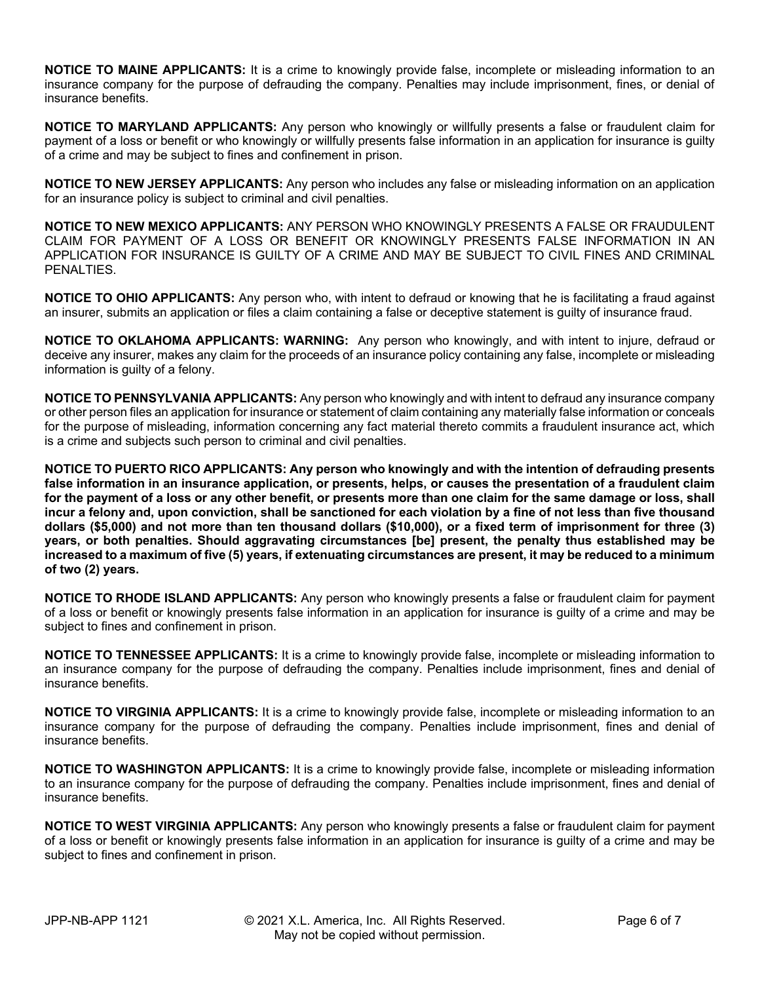**NOTICE TO MAINE APPLICANTS:** It is a crime to knowingly provide false, incomplete or misleading information to an insurance company for the purpose of defrauding the company. Penalties may include imprisonment, fines, or denial of insurance benefits.

**NOTICE TO MARYLAND APPLICANTS:** Any person who knowingly or willfully presents a false or fraudulent claim for payment of a loss or benefit or who knowingly or willfully presents false information in an application for insurance is guilty of a crime and may be subject to fines and confinement in prison.

**NOTICE TO NEW JERSEY APPLICANTS:** Any person who includes any false or misleading information on an application for an insurance policy is subject to criminal and civil penalties.

**NOTICE TO NEW MEXICO APPLICANTS:** ANY PERSON WHO KNOWINGLY PRESENTS A FALSE OR FRAUDULENT CLAIM FOR PAYMENT OF A LOSS OR BENEFIT OR KNOWINGLY PRESENTS FALSE INFORMATION IN AN APPLICATION FOR INSURANCE IS GUILTY OF A CRIME AND MAY BE SUBJECT TO CIVIL FINES AND CRIMINAL PENALTIES.

**NOTICE TO OHIO APPLICANTS:** Any person who, with intent to defraud or knowing that he is facilitating a fraud against an insurer, submits an application or files a claim containing a false or deceptive statement is guilty of insurance fraud.

**NOTICE TO OKLAHOMA APPLICANTS: WARNING:** Any person who knowingly, and with intent to injure, defraud or deceive any insurer, makes any claim for the proceeds of an insurance policy containing any false, incomplete or misleading information is guilty of a felony.

**NOTICE TO PENNSYLVANIA APPLICANTS:** Any person who knowingly and with intent to defraud any insurance company or other person files an application for insurance or statement of claim containing any materially false information or conceals for the purpose of misleading, information concerning any fact material thereto commits a fraudulent insurance act, which is a crime and subjects such person to criminal and civil penalties.

**NOTICE TO PUERTO RICO APPLICANTS: Any person who knowingly and with the intention of defrauding presents false information in an insurance application, or presents, helps, or causes the presentation of a fraudulent claim for the payment of a loss or any other benefit, or presents more than one claim for the same damage or loss, shall incur a felony and, upon conviction, shall be sanctioned for each violation by a fine of not less than five thousand dollars (\$5,000) and not more than ten thousand dollars (\$10,000), or a fixed term of imprisonment for three (3) years, or both penalties. Should aggravating circumstances [be] present, the penalty thus established may be increased to a maximum of five (5) years, if extenuating circumstances are present, it may be reduced to a minimum of two (2) years.**

**NOTICE TO RHODE ISLAND APPLICANTS:** Any person who knowingly presents a false or fraudulent claim for payment of a loss or benefit or knowingly presents false information in an application for insurance is guilty of a crime and may be subject to fines and confinement in prison.

**NOTICE TO TENNESSEE APPLICANTS:** It is a crime to knowingly provide false, incomplete or misleading information to an insurance company for the purpose of defrauding the company. Penalties include imprisonment, fines and denial of insurance benefits.

**NOTICE TO VIRGINIA APPLICANTS:** It is a crime to knowingly provide false, incomplete or misleading information to an insurance company for the purpose of defrauding the company. Penalties include imprisonment, fines and denial of insurance benefits.

**NOTICE TO WASHINGTON APPLICANTS:** It is a crime to knowingly provide false, incomplete or misleading information to an insurance company for the purpose of defrauding the company. Penalties include imprisonment, fines and denial of insurance benefits.

**NOTICE TO WEST VIRGINIA APPLICANTS:** Any person who knowingly presents a false or fraudulent claim for payment of a loss or benefit or knowingly presents false information in an application for insurance is guilty of a crime and may be subject to fines and confinement in prison.